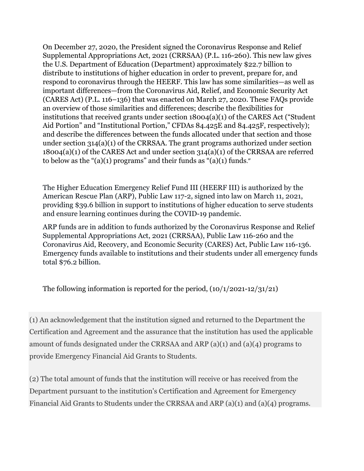On December 27, 2020, the President signed the Coronavirus Response and Relief Supplemental Appropriations Act, 2021 (CRRSAA) (P.L. 116-260). This new law gives the U.S. Department of Education (Department) approximately \$22.7 billion to distribute to institutions of higher education in order to prevent, prepare for, and respond to coronavirus through the HEERF. This law has some similarities—as well as important differences—from the Coronavirus Aid, Relief, and Economic Security Act (CARES Act) (P.L. 116–136) that was enacted on March 27, 2020. These FAQs provide an overview of those similarities and differences; describe the flexibilities for institutions that received grants under section 18004(a)(1) of the CARES Act ("Student Aid Portion" and "Institutional Portion," CFDAs 84.425E and 84.425F, respectively); and describe the differences between the funds allocated under that section and those under section 314(a)(1) of the CRRSAA. The grant programs authorized under section 18004(a)(1) of the CARES Act and under section 314(a)(1) of the CRRSAA are referred to below as the " $(a)(1)$  programs" and their funds as " $(a)(1)$  funds."

The Higher Education Emergency Relief Fund III (HEERF III) is authorized by the American Rescue Plan (ARP), Public Law 117-2, signed into law on March 11, 2021, providing \$39.6 billion in support to institutions of higher education to serve students and ensure learning continues during the COVID-19 pandemic.

ARP funds are in addition to funds authorized by the Coronavirus Response and Relief Supplemental Appropriations Act, 2021 (CRRSAA), Public Law 116-260 and the Coronavirus Aid, Recovery, and Economic Security (CARES) Act, Public Law 116-136. Emergency funds available to institutions and their students under all emergency funds total \$76.2 billion.

The following information is reported for the period,  $(10/1/2021-12/31/21)$ 

(1) An acknowledgement that the institution signed and returned to the Department the Certification and Agreement and the assurance that the institution has used the applicable amount of funds designated under the CRRSAA and ARP (a)(1) and (a)(4) programs to provide Emergency Financial Aid Grants to Students.

(2) The total amount of funds that the institution will receive or has received from the Department pursuant to the institution's Certification and Agreement for Emergency Financial Aid Grants to Students under the CRRSAA and ARP (a)(1) and (a)(4) programs.